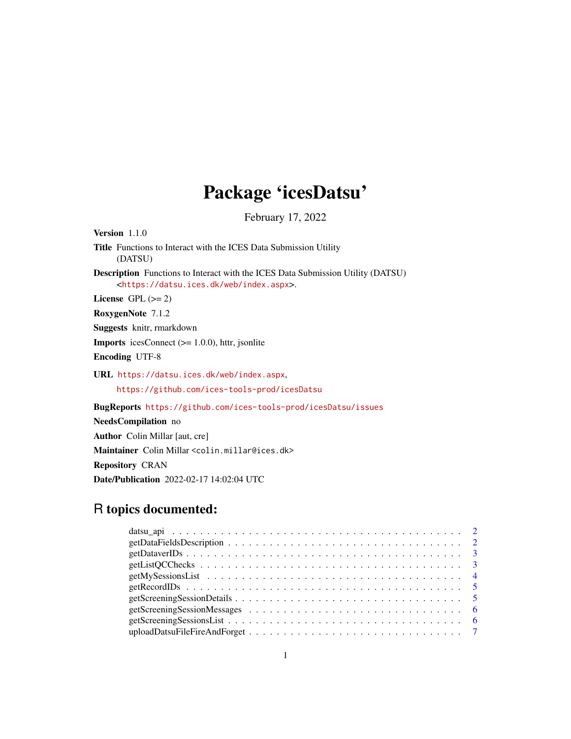## Package 'icesDatsu'

February 17, 2022

Version 1.1.0 Title Functions to Interact with the ICES Data Submission Utility (DATSU) Description Functions to Interact with the ICES Data Submission Utility (DATSU) <<https://datsu.ices.dk/web/index.aspx>>. License GPL  $(>= 2)$ RoxygenNote 7.1.2 Suggests knitr, rmarkdown **Imports** icesConnect  $(>= 1.0.0)$ , httr, jsonlite Encoding UTF-8 URL <https://datsu.ices.dk/web/index.aspx>, <https://github.com/ices-tools-prod/icesDatsu> BugReports <https://github.com/ices-tools-prod/icesDatsu/issues> NeedsCompilation no Author Colin Millar [aut, cre]

Maintainer Colin Millar <colin.millar@ices.dk> Repository CRAN Date/Publication 2022-02-17 14:02:04 UTC

### R topics documented: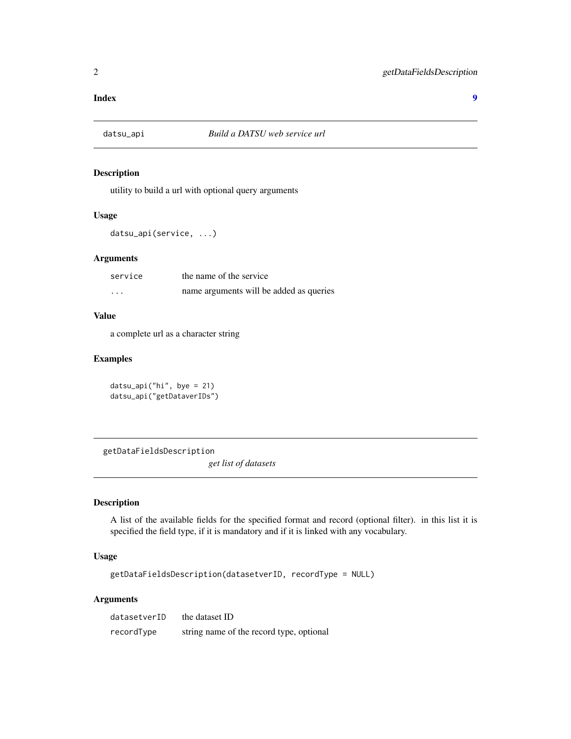#### <span id="page-1-0"></span>**Index** [9](#page-8-0)

#### Description

utility to build a url with optional query arguments

#### Usage

datsu\_api(service, ...)

#### Arguments

| service  | the name of the service                 |
|----------|-----------------------------------------|
| $\cdots$ | name arguments will be added as queries |

#### Value

a complete url as a character string

#### Examples

datsu\_api("hi", bye = 21) datsu\_api("getDataverIDs")

getDataFieldsDescription

*get list of datasets*

### Description

A list of the available fields for the specified format and record (optional filter). in this list it is specified the field type, if it is mandatory and if it is linked with any vocabulary.

#### Usage

getDataFieldsDescription(datasetverID, recordType = NULL)

#### Arguments

| datasetverID | the dataset ID                           |
|--------------|------------------------------------------|
| recordType   | string name of the record type, optional |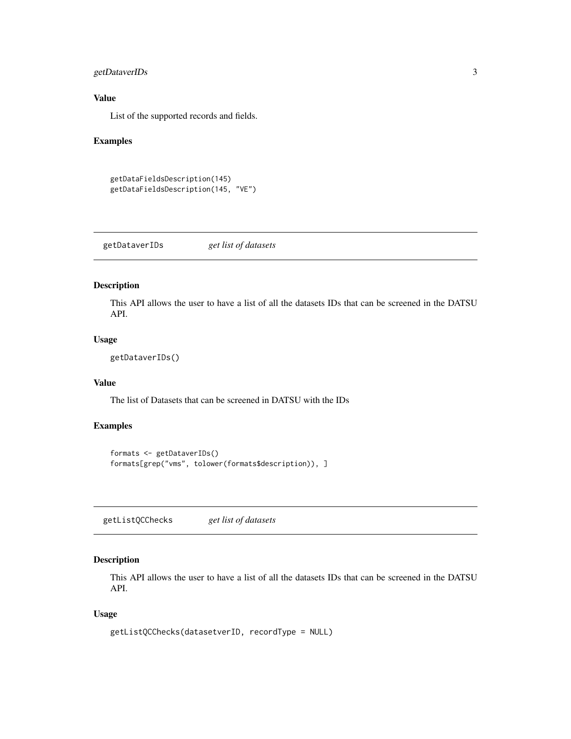#### <span id="page-2-0"></span>getDataverIDs 3

#### Value

List of the supported records and fields.

#### Examples

```
getDataFieldsDescription(145)
getDataFieldsDescription(145, "VE")
```
getDataverIDs *get list of datasets*

#### Description

This API allows the user to have a list of all the datasets IDs that can be screened in the DATSU API.

#### Usage

getDataverIDs()

#### Value

The list of Datasets that can be screened in DATSU with the IDs

#### Examples

```
formats <- getDataverIDs()
formats[grep("vms", tolower(formats$description)), ]
```
getListQCChecks *get list of datasets*

#### Description

This API allows the user to have a list of all the datasets IDs that can be screened in the DATSU API.

#### Usage

```
getListQCChecks(datasetverID, recordType = NULL)
```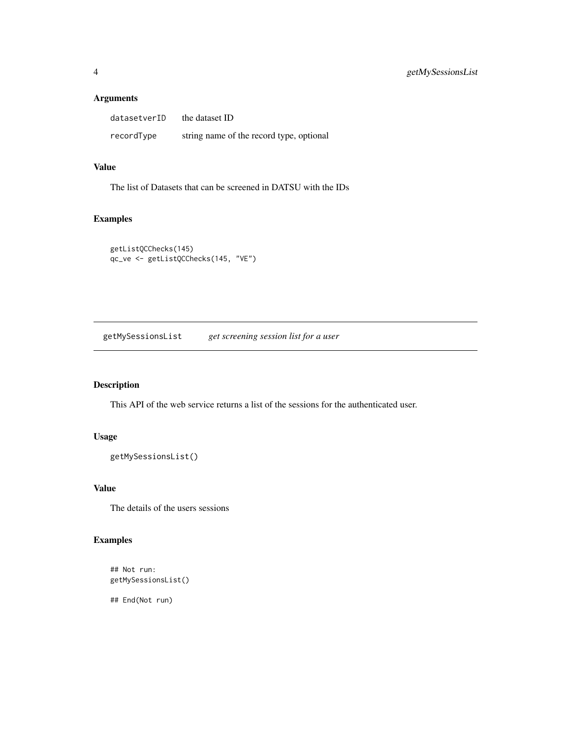#### Arguments

| datasetverID | the dataset ID                           |
|--------------|------------------------------------------|
| recordType   | string name of the record type, optional |

#### Value

The list of Datasets that can be screened in DATSU with the IDs

#### Examples

```
getListQCChecks(145)
qc_ve <- getListQCChecks(145, "VE")
```
getMySessionsList *get screening session list for a user*

### Description

This API of the web service returns a list of the sessions for the authenticated user.

#### Usage

```
getMySessionsList()
```
#### Value

The details of the users sessions

### Examples

## Not run: getMySessionsList()

## End(Not run)

<span id="page-3-0"></span>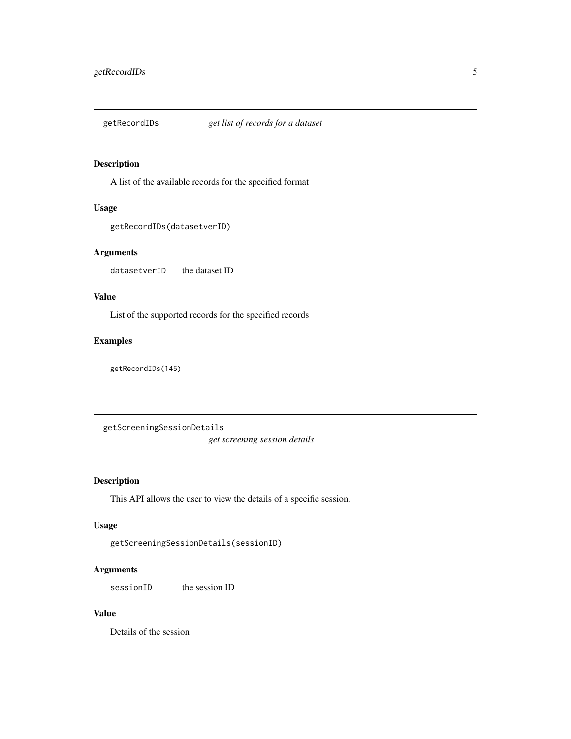<span id="page-4-0"></span>

#### Description

A list of the available records for the specified format

#### Usage

```
getRecordIDs(datasetverID)
```
#### Arguments

datasetverID the dataset ID

#### Value

List of the supported records for the specified records

#### Examples

getRecordIDs(145)

getScreeningSessionDetails

*get screening session details*

#### Description

This API allows the user to view the details of a specific session.

#### Usage

```
getScreeningSessionDetails(sessionID)
```
#### Arguments

sessionID the session ID

#### Value

Details of the session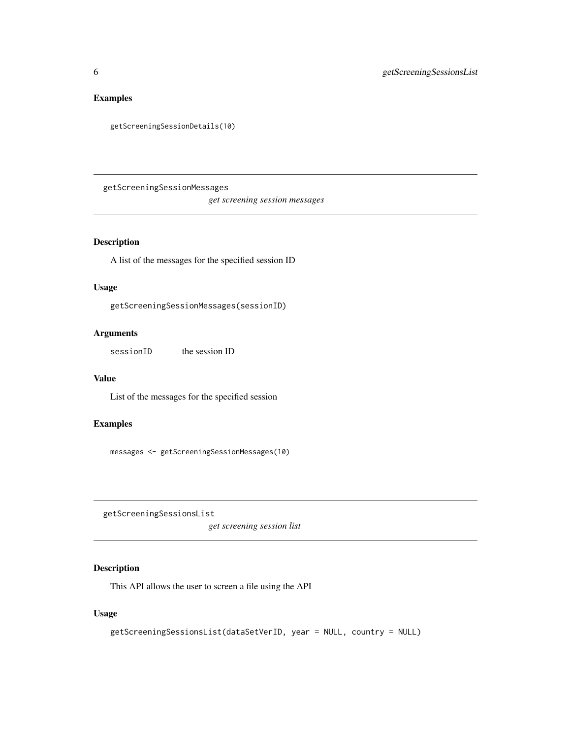#### <span id="page-5-0"></span>Examples

```
getScreeningSessionDetails(10)
```
getScreeningSessionMessages

*get screening session messages*

#### Description

A list of the messages for the specified session ID

#### Usage

getScreeningSessionMessages(sessionID)

#### Arguments

sessionID the session ID

#### Value

List of the messages for the specified session

### Examples

messages <- getScreeningSessionMessages(10)

getScreeningSessionsList

*get screening session list*

#### Description

This API allows the user to screen a file using the API

#### Usage

```
getScreeningSessionsList(dataSetVerID, year = NULL, country = NULL)
```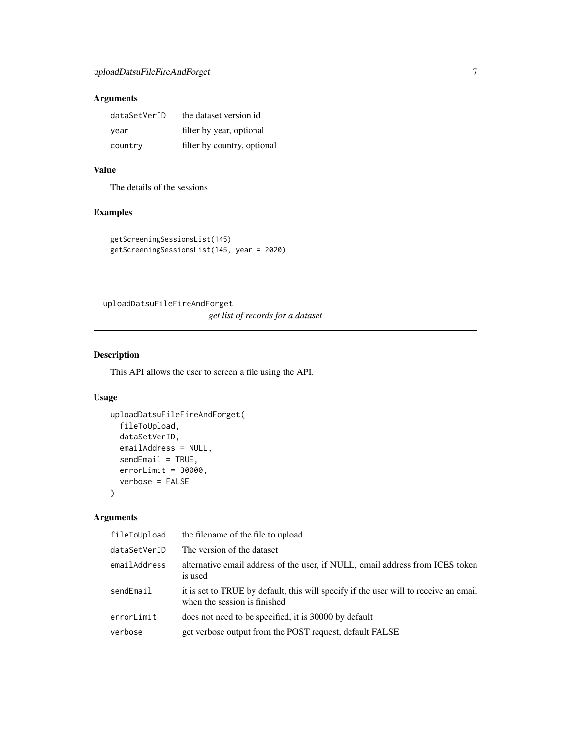### <span id="page-6-0"></span>Arguments

| dataSetVerID | the dataset version id      |
|--------------|-----------------------------|
| vear         | filter by year, optional    |
| country      | filter by country, optional |

#### Value

The details of the sessions

#### Examples

```
getScreeningSessionsList(145)
getScreeningSessionsList(145, year = 2020)
```
uploadDatsuFileFireAndForget *get list of records for a dataset*

#### Description

This API allows the user to screen a file using the API.

#### Usage

```
uploadDatsuFileFireAndForget(
  fileToUpload,
 dataSetVerID,
  emailAddress = NULL,
  sendEmail = TRUE,
 errorLimit = 30000,verbose = FALSE
\mathcal{L}
```
#### Arguments

| fileToUpload | the filename of the file to upload                                                                                   |
|--------------|----------------------------------------------------------------------------------------------------------------------|
| dataSetVerID | The version of the dataset                                                                                           |
| emailAddress | alternative email address of the user, if NULL, email address from ICES token<br>is used                             |
| sendEmail    | it is set to TRUE by default, this will specify if the user will to receive an email<br>when the session is finished |
| errorLimit   | does not need to be specified, it is 30000 by default                                                                |
| verbose      | get verbose output from the POST request, default FALSE                                                              |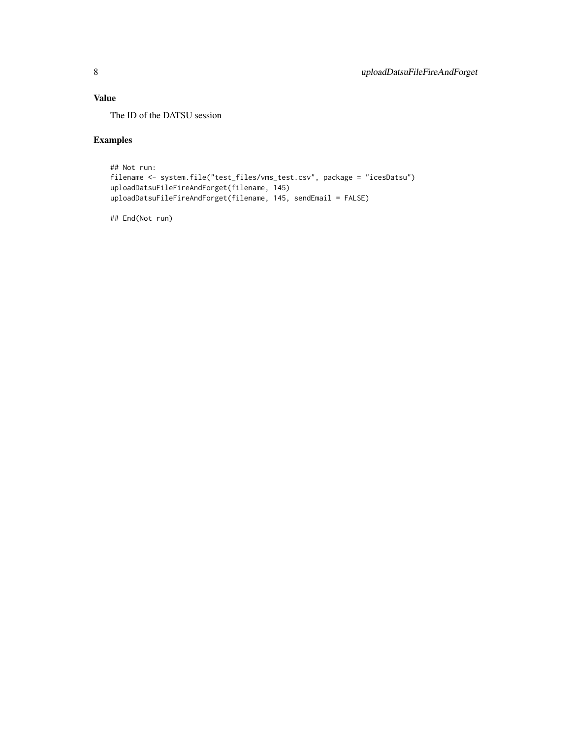#### Value

The ID of the DATSU session

#### Examples

```
## Not run:
filename <- system.file("test_files/vms_test.csv", package = "icesDatsu")
uploadDatsuFileFireAndForget(filename, 145)
uploadDatsuFileFireAndForget(filename, 145, sendEmail = FALSE)
```
## End(Not run)